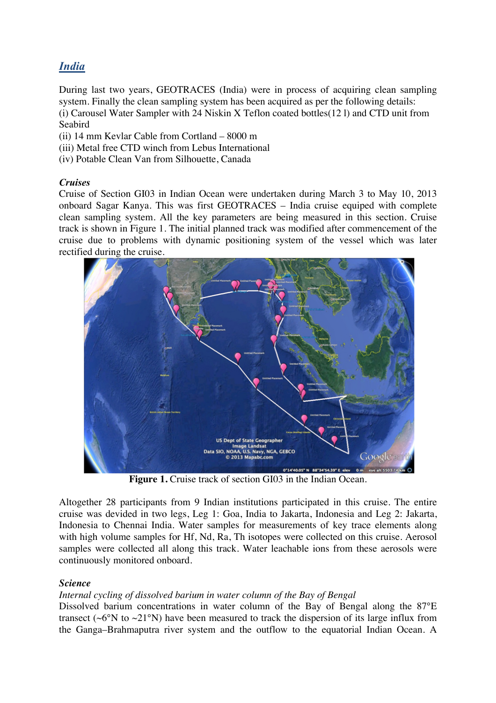# *India*

During last two years, GEOTRACES (India) were in process of acquiring clean sampling system. Finally the clean sampling system has been acquired as per the following details: (i) Carousel Water Sampler with 24 Niskin X Teflon coated bottles(12 l) and CTD unit from Seabird

- (ii) 14 mm Kevlar Cable from Cortland 8000 m
- (iii) Metal free CTD winch from Lebus International
- (iv) Potable Clean Van from Silhouette, Canada

# *Cruises*

Cruise of Section GI03 in Indian Ocean were undertaken during March 3 to May 10, 2013 onboard Sagar Kanya. This was first GEOTRACES – India cruise equiped with complete clean sampling system. All the key parameters are being measured in this section. Cruise track is shown in Figure 1. The initial planned track was modified after commencement of the cruise due to problems with dynamic positioning system of the vessel which was later rectified during the cruise.



Figure 1. Cruise track of section GI03 in the Indian Ocean.

Altogether 28 participants from 9 Indian institutions participated in this cruise. The entire cruise was devided in two legs, Leg 1: Goa, India to Jakarta, Indonesia and Leg 2: Jakarta, Indonesia to Chennai India. Water samples for measurements of key trace elements along with high volume samples for Hf, Nd, Ra, Th isotopes were collected on this cruise. Aerosol samples were collected all along this track. Water leachable ions from these aerosols were continuously monitored onboard.

# *Science*

### *Internal cycling of dissolved barium in water column of the Bay of Bengal*

Dissolved barium concentrations in water column of the Bay of Bengal along the 87°E transect ( $\sim$ 6°N to  $\sim$ 21°N) have been measured to track the dispersion of its large influx from the Ganga–Brahmaputra river system and the outflow to the equatorial Indian Ocean. A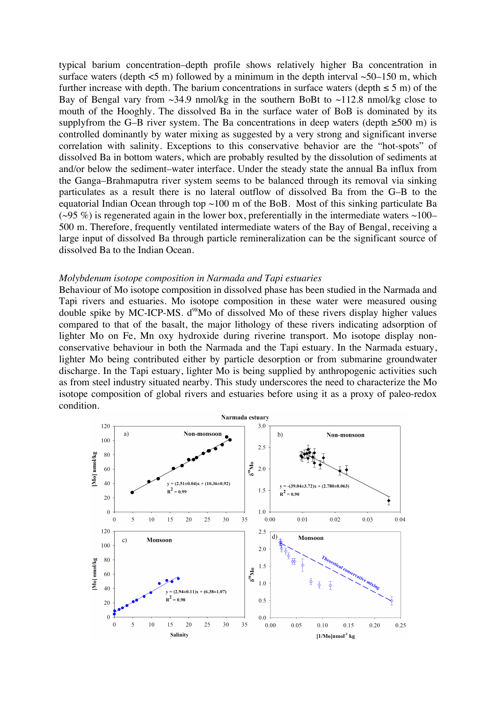typical barium concentration–depth profile shows relatively higher Ba concentration in surface waters (depth  $\leq 5$  m) followed by a minimum in the depth interval  $\sim 50-150$  m, which further increase with depth. The barium concentrations in surface waters (depth  $\leq 5$  m) of the Bay of Bengal vary from  $\sim$ 34.9 nmol/kg in the southern BoBt to  $\sim$ 112.8 nmol/kg close to mouth of the Hooghly. The dissolved Ba in the surface water of BoB is dominated by its supplyfrom the G–B river system. The Ba concentrations in deep waters (depth  $\geq 500$  m) is controlled dominantly by water mixing as suggested by a very strong and significant inverse correlation with salinity. Exceptions to this conservative behavior are the "hot-spots" of dissolved Ba in bottom waters, which are probably resulted by the dissolution of sediments at and/or below the sediment–water interface. Under the steady state the annual Ba influx from the Ganga–Brahmaputra river system seems to be balanced through its removal via sinking particulates as a result there is no lateral outflow of dissolved Ba from the G–B to the equatorial Indian Ocean through top  $\sim$ 100 m of the BoB. Most of this sinking particulate Ba ( $\sim$ 95 %) is regenerated again in the lower box, preferentially in the intermediate waters  $\sim$ 100– 500 m. Therefore, frequently ventilated intermediate waters of the Bay of Bengal, receiving a large input of dissolved Ba through particle remineralization can be the significant source of dissolved Ba to the Indian Ocean.

#### *Molybdenum isotope composition in Narmada and Tapi estuaries*

Behaviour of Mo isotope composition in dissolved phase has been studied in the Narmada and Tapi rivers and estuaries. Mo isotope composition in these water were measured ousing double spike by MC-ICP-MS.  $d^{98}$ Mo of dissolved Mo of these rivers display higher values compared to that of the basalt, the major lithology of these rivers indicating adsorption of lighter Mo on Fe, Mn oxy hydroxide during riverine transport. Mo isotope display nonconservative behaviour in both the Narmada and the Tapi estuary. In the Narmada estuary, lighter Mo being contributed either by particle desorption or from submarine groundwater discharge. In the Tapi estuary, lighter Mo is being supplied by anthropogenic activities such as from steel industry situated nearby. This study underscores the need to characterize the Mo isotope composition of global rivers and estuaries before using it as a proxy of paleo-redox condition.